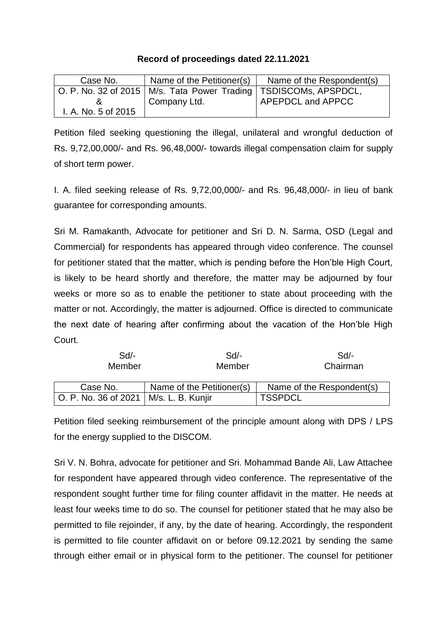## **Record of proceedings dated 22.11.2021**

| Case No.            | Name of the Petitioner(s)                                            | Name of the Respondent(s) |
|---------------------|----------------------------------------------------------------------|---------------------------|
|                     | O. P. No. 32 of 2015   M/s. Tata Power Trading   TSDISCOMs, APSPDCL, |                           |
|                     | Company Ltd.                                                         | APEPDCL and APPCC         |
| I. A. No. 5 of 2015 |                                                                      |                           |

Petition filed seeking questioning the illegal, unilateral and wrongful deduction of Rs. 9,72,00,000/- and Rs. 96,48,000/- towards illegal compensation claim for supply of short term power.

I. A. filed seeking release of Rs. 9,72,00,000/- and Rs. 96,48,000/- in lieu of bank guarantee for corresponding amounts.

Sri M. Ramakanth, Advocate for petitioner and Sri D. N. Sarma, OSD (Legal and Commercial) for respondents has appeared through video conference. The counsel for petitioner stated that the matter, which is pending before the Hon'ble High Court, is likely to be heard shortly and therefore, the matter may be adjourned by four weeks or more so as to enable the petitioner to state about proceeding with the matter or not. Accordingly, the matter is adjourned. Office is directed to communicate the next date of hearing after confirming about the vacation of the Hon'ble High Court.

| Sd/-<br>Member                           | Sd/-<br>Member            | Sd/-<br>Chairman          |
|------------------------------------------|---------------------------|---------------------------|
| Case No.                                 | Name of the Petitioner(s) | Name of the Respondent(s) |
| O. P. No. 36 of 2021   M/s. L. B. Kunjir |                           | 'TSSPDCL                  |

Petition filed seeking reimbursement of the principle amount along with DPS / LPS for the energy supplied to the DISCOM.

Sri V. N. Bohra, advocate for petitioner and Sri. Mohammad Bande Ali, Law Attachee for respondent have appeared through video conference. The representative of the respondent sought further time for filing counter affidavit in the matter. He needs at least four weeks time to do so. The counsel for petitioner stated that he may also be permitted to file rejoinder, if any, by the date of hearing. Accordingly, the respondent is permitted to file counter affidavit on or before 09.12.2021 by sending the same through either email or in physical form to the petitioner. The counsel for petitioner